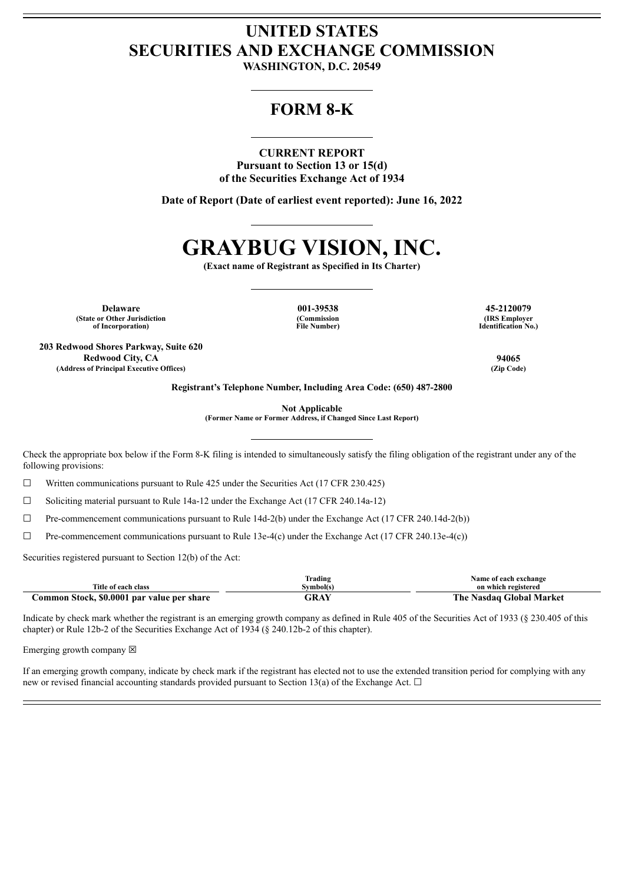## **UNITED STATES SECURITIES AND EXCHANGE COMMISSION**

**WASHINGTON, D.C. 20549**

### **FORM 8-K**

### **CURRENT REPORT**

**Pursuant to Section 13 or 15(d) of the Securities Exchange Act of 1934**

**Date of Report (Date of earliest event reported): June 16, 2022**

# **GRAYBUG VISION, INC.**

**(Exact name of Registrant as Specified in Its Charter)**

**Delaware 001-39538 45-2120079 (State or Other Jurisdiction of Incorporation)**

**203 Redwood Shores Parkway, Suite 620**

**(Commission File Number)**

**(IRS Employer Identification No.)**

**Redwood City, CA 94065 (Address of Principal Executive Offices) (Zip Code)**

**Registrant's Telephone Number, Including Area Code: (650) 487-2800**

**Not Applicable**

**(Former Name or Former Address, if Changed Since Last Report)**

Check the appropriate box below if the Form 8-K filing is intended to simultaneously satisfy the filing obligation of the registrant under any of the following provisions:

☐ Written communications pursuant to Rule 425 under the Securities Act (17 CFR 230.425)

 $\Box$  Soliciting material pursuant to Rule 14a-12 under the Exchange Act (17 CFR 240.14a-12)

 $\Box$  Pre-commencement communications pursuant to Rule 14d-2(b) under the Exchange Act (17 CFR 240.14d-2(b))

 $\Box$  Pre-commencement communications pursuant to Rule 13e-4(c) under the Exchange Act (17 CFR 240.13e-4(c))

Securities registered pursuant to Section 12(b) of the Act:

|                                                             | Frading         | Name of each exchange                |
|-------------------------------------------------------------|-----------------|--------------------------------------|
| Title of each class                                         | <b>Symbol(s</b> | on which registered                  |
| <b>Common Stock. \$0.0001</b><br>. par value per<br>' share | $\sqrt{2}$      | The<br>Market<br>Gilobal<br>Aasdaa ' |

Indicate by check mark whether the registrant is an emerging growth company as defined in Rule 405 of the Securities Act of 1933 (§ 230.405 of this chapter) or Rule 12b-2 of the Securities Exchange Act of 1934 (§ 240.12b-2 of this chapter).

Emerging growth company  $\boxtimes$ 

If an emerging growth company, indicate by check mark if the registrant has elected not to use the extended transition period for complying with any new or revised financial accounting standards provided pursuant to Section 13(a) of the Exchange Act.  $\Box$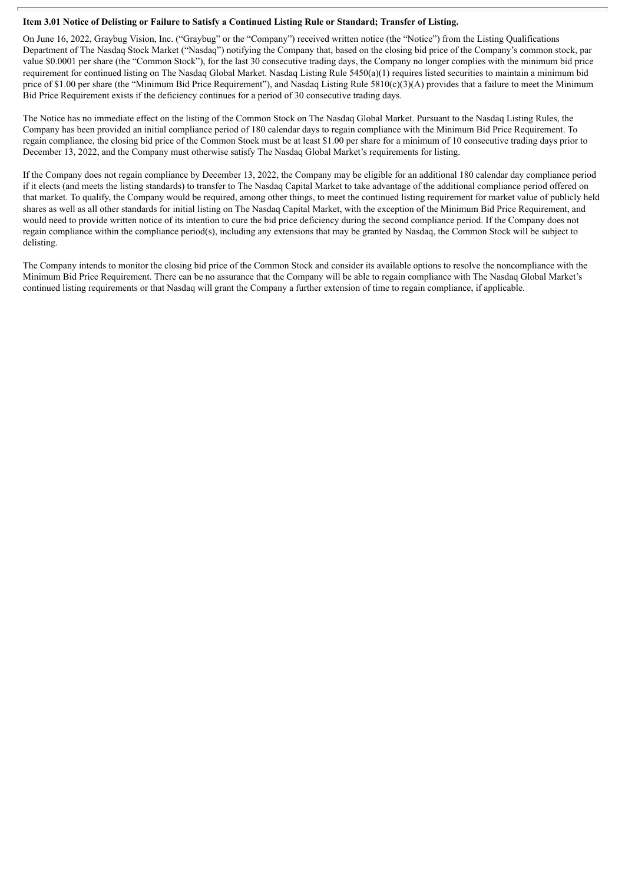### Item 3.01 Notice of Delisting or Failure to Satisfy a Continued Listing Rule or Standard; Transfer of Listing.

On June 16, 2022, Graybug Vision, Inc. ("Graybug" or the "Company") received written notice (the "Notice") from the Listing Qualifications Department of The Nasdaq Stock Market ("Nasdaq") notifying the Company that, based on the closing bid price of the Company's common stock, par value \$0.0001 per share (the "Common Stock"), for the last 30 consecutive trading days, the Company no longer complies with the minimum bid price requirement for continued listing on The Nasdaq Global Market. Nasdaq Listing Rule 5450(a)(1) requires listed securities to maintain a minimum bid price of \$1.00 per share (the "Minimum Bid Price Requirement"), and Nasdaq Listing Rule 5810(c)(3)(A) provides that a failure to meet the Minimum Bid Price Requirement exists if the deficiency continues for a period of 30 consecutive trading days.

The Notice has no immediate effect on the listing of the Common Stock on The Nasdaq Global Market. Pursuant to the Nasdaq Listing Rules, the Company has been provided an initial compliance period of 180 calendar days to regain compliance with the Minimum Bid Price Requirement. To regain compliance, the closing bid price of the Common Stock must be at least \$1.00 per share for a minimum of 10 consecutive trading days prior to December 13, 2022, and the Company must otherwise satisfy The Nasdaq Global Market's requirements for listing.

If the Company does not regain compliance by December 13, 2022, the Company may be eligible for an additional 180 calendar day compliance period if it elects (and meets the listing standards) to transfer to The Nasdaq Capital Market to take advantage of the additional compliance period offered on that market. To qualify, the Company would be required, among other things, to meet the continued listing requirement for market value of publicly held shares as well as all other standards for initial listing on The Nasdaq Capital Market, with the exception of the Minimum Bid Price Requirement, and would need to provide written notice of its intention to cure the bid price deficiency during the second compliance period. If the Company does not regain compliance within the compliance period(s), including any extensions that may be granted by Nasdaq, the Common Stock will be subject to delisting.

The Company intends to monitor the closing bid price of the Common Stock and consider its available options to resolve the noncompliance with the Minimum Bid Price Requirement. There can be no assurance that the Company will be able to regain compliance with The Nasdaq Global Market's continued listing requirements or that Nasdaq will grant the Company a further extension of time to regain compliance, if applicable.